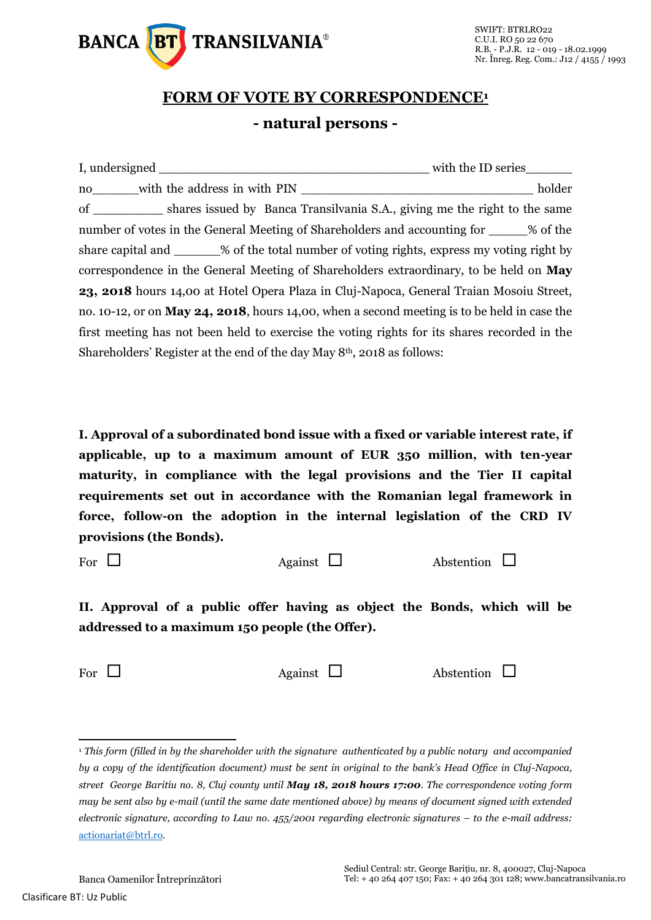

## **FORM OF VOTE BY CORRESPONDENCE<sup>1</sup> - natural persons -**

| no with the address in with PIN                                                               | holder |  |  |  |
|-----------------------------------------------------------------------------------------------|--------|--|--|--|
| of _____________ shares issued by Banca Transilvania S.A., giving me the right to the same    |        |  |  |  |
| number of votes in the General Meeting of Shareholders and accounting for ______% of the      |        |  |  |  |
| share capital and _______% of the total number of voting rights, express my voting right by   |        |  |  |  |
| correspondence in the General Meeting of Shareholders extraordinary, to be held on <b>May</b> |        |  |  |  |
| 23, 2018 hours 14,00 at Hotel Opera Plaza in Cluj-Napoca, General Traian Mosoiu Street,       |        |  |  |  |
| no. 10-12, or on May 24, 2018, hours 14,00, when a second meeting is to be held in case the   |        |  |  |  |
| first meeting has not been held to exercise the voting rights for its shares recorded in the  |        |  |  |  |
| Shareholders' Register at the end of the day May 8 <sup>th</sup> , 2018 as follows:           |        |  |  |  |

**I. Approval of a subordinated bond issue with a fixed or variable interest rate, if applicable, up to a maximum amount of EUR 350 million, with ten-year maturity, in compliance with the legal provisions and the Tier II capital requirements set out in accordance with the Romanian legal framework in force, follow-on the adoption in the internal legislation of the CRD IV provisions (the Bonds).**

For  $\Box$  Against  $\Box$  Abstention  $\Box$ 

**II. Approval of a public offer having as object the Bonds, which will be addressed to a maximum 150 people (the Offer).**

 $\overline{a}$ 

For  $\Box$  Against  $\Box$  Abstention  $\Box$ 

<sup>1</sup> *This form (filled in by the shareholder with the signature authenticated by a public notary and accompanied by a copy of the identification document) must be sent in original to the bank's Head Office in Cluj-Napoca, street George Baritiu no. 8, Cluj county until May 18, 2018 hours 17:00. The correspondence voting form may be sent also by e-mail (until the same date mentioned above) by means of document signed with extended electronic signature, according to Law no. 455/2001 regarding electronic signatures – to the e-mail address:*  [actionariat@btrl.ro](mailto:actionariat@btrl.ro)*.*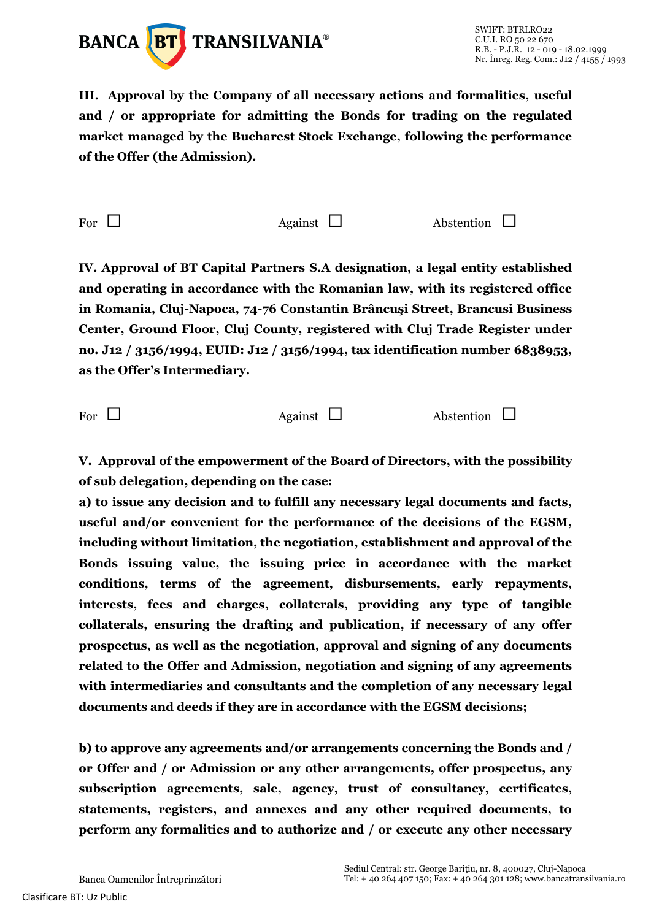

**III. Approval by the Company of all necessary actions and formalities, useful and / or appropriate for admitting the Bonds for trading on the regulated market managed by the Bucharest Stock Exchange, following the performance of the Offer (the Admission).**

For  $\Box$  Against  $\Box$  Abstention  $\Box$ 

**IV. Approval of BT Capital Partners S.A designation, a legal entity established and operating in accordance with the Romanian law, with its registered office in Romania, Cluj-Napoca, 74-76 Constantin Brâncuşi Street, Brancusi Business Center, Ground Floor, Cluj County, registered with Cluj Trade Register under no. J12 / 3156/1994, EUID: J12 / 3156/1994, tax identification number 6838953, as the Offer's Intermediary.**

For  $\Box$  Against  $\Box$  Abstention  $\Box$ 

**V. Approval of the empowerment of the Board of Directors, with the possibility of sub delegation, depending on the case:**

**a) to issue any decision and to fulfill any necessary legal documents and facts, useful and/or convenient for the performance of the decisions of the EGSM, including without limitation, the negotiation, establishment and approval of the Bonds issuing value, the issuing price in accordance with the market conditions, terms of the agreement, disbursements, early repayments, interests, fees and charges, collaterals, providing any type of tangible collaterals, ensuring the drafting and publication, if necessary of any offer prospectus, as well as the negotiation, approval and signing of any documents related to the Offer and Admission, negotiation and signing of any agreements with intermediaries and consultants and the completion of any necessary legal documents and deeds if they are in accordance with the EGSM decisions;**

**b) to approve any agreements and/or arrangements concerning the Bonds and / or Offer and / or Admission or any other arrangements, offer prospectus, any subscription agreements, sale, agency, trust of consultancy, certificates, statements, registers, and annexes and any other required documents, to perform any formalities and to authorize and / or execute any other necessary**